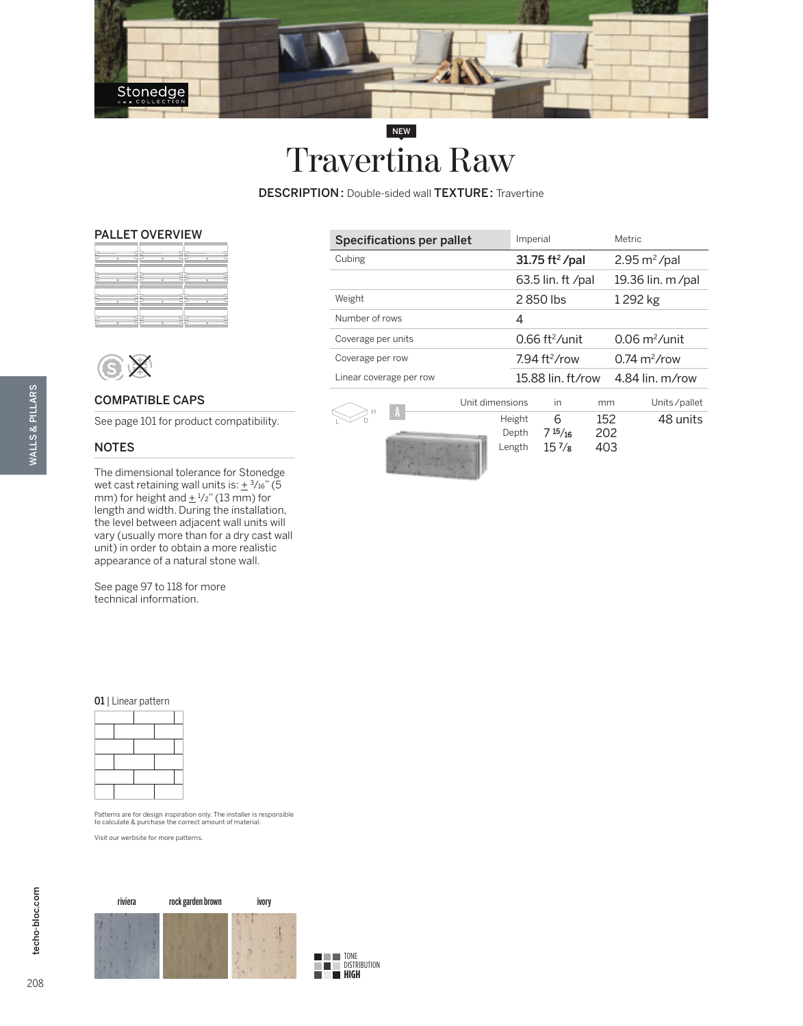

# NEW Travertina Raw

DESCRIPTION: Double-sided wall TEXTURE: Travertine

### PALLET OVERVIEW

|                                        | <b>Commercial</b>                     | ,,,,,,,,,,,,,,,,,,,,,,,,,,,,,,,,,,,,,,<br>,,,,,,,,,, |
|----------------------------------------|---------------------------------------|------------------------------------------------------|
| hu                                     |                                       | u                                                    |
| n.<br>,,,,,,,,,,,,,,,,,,<br>,,,,,,,,,, | ---------<br>,,,,,,,,,,,,,,,,,,,,     |                                                      |
|                                        |                                       |                                                      |
| -------------                          | ----------                            | -------------                                        |
| ,,,,,,,,,,,,,,<br>,,,,,,,,,,,,         | <b><i>Column Hotel</i></b><br>,,,,,,, | <b>COLORADO COLOR</b>                                |
|                                        |                                       |                                                      |
| $\sim$                                 |                                       |                                                      |
|                                        |                                       |                                                      |
| -----------<br>anomi (COS)             | <b>SUSSESSIONS</b>                    | 8000000000000                                        |



## COMPATIBLE CAPS

See page 101 for product compatibility.

# NOTES

WALLS & PILLARS

**WALLS & PILLARS** 

The dimensional tolerance for Stonedge wet cast retaining wall units is:  $\pm$  3/16" (5 mm) for height and  $\pm$  1/2" (13 mm) for length and width. During the installation, the level between adjacent wall units will vary (usually more than for a dry cast wall unit) in order to obtain a more realistic appearance of a natural stone wall.

See page 97 to 118 for more technical information.

#### 01 | Linear pattern

Patterns are for design inspiration only. The installer is responsible to calculate & purchase the correct amount of material.

Visit our werbsite for more patterns.



| Specifications per pallet | Imperial                     | Metric                         |
|---------------------------|------------------------------|--------------------------------|
| Cubing                    | $31.75$ ft <sup>2</sup> /pal | $2.95 \text{ m}^2$ /pal        |
|                           | 63.5 lin. ft /pal            | 19.36 lin. m/pal               |
| Weight                    | 2850 lbs                     | 1292 kg                        |
| Number of rows            | 4                            |                                |
| Coverage per units        | $0.66$ ft <sup>2</sup> /unit | $0.06 \text{ m}^2/\text{unit}$ |
| Coverage per row          | $794$ ft <sup>2</sup> /row   | $0.74 \text{ m}^2$ /row        |
| Linear coverage per row   | 15.88 lin. ft/row            | 4.84 lin. $m$ /row             |
|                           |                              |                                |



Unit dimensions in mm Units/pallet A Height 6 152 48 units Depth 7  $\frac{15}{16}$  202<br>Length 157/8 403  $15 \frac{7}{8}$